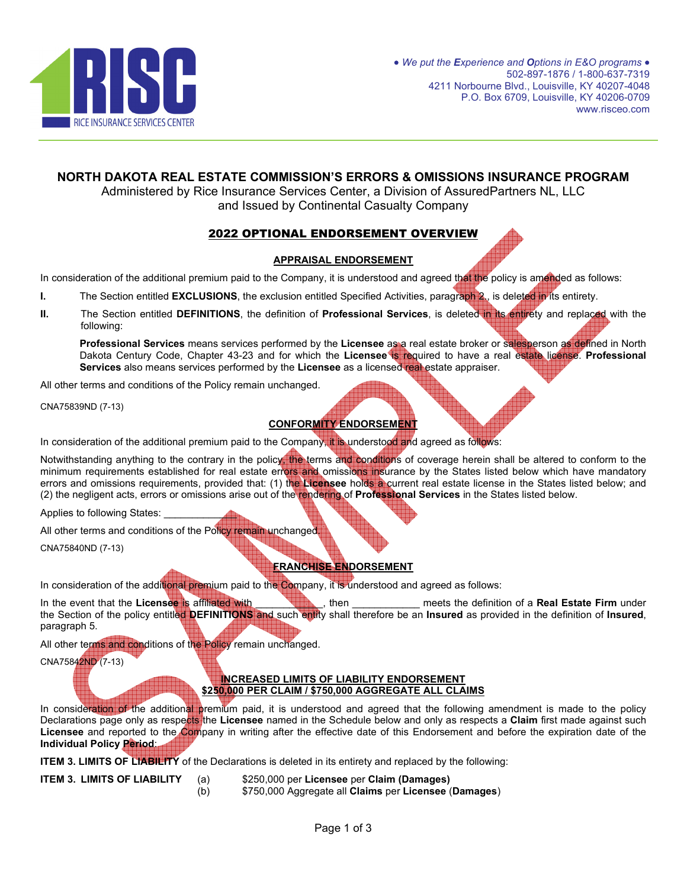

## **NORTH DAKOTA REAL ESTATE COMMISSION'S ERRORS & OMISSIONS INSURANCE PROGRAM**

Administered by Rice Insurance Services Center, a Division of AssuredPartners NL, LLC and Issued by Continental Casualty Company

# 2022 OPTIONAL ENDORSEMENT OVERVIEW

### **APPRAISAL ENDORSEMENT**

In consideration of the additional premium paid to the Company, it is understood and agreed that the policy is amended as follows:

- **I.** The Section entitled **EXCLUSIONS**, the exclusion entitled Specified Activities, paragraph 2., is deleted in its entirety.
- **II.** The Section entitled **DEFINITIONS**, the definition of **Professional Services**, is deleted in its entirety and replaced with the following:

**Professional Services** means services performed by the **Licensee** as a real estate broker or salesperson as defined in North Dakota Century Code, Chapter 43-23 and for which the **Licensee** is required to have a real estate license. **Professional Services** also means services performed by the **Licensee** as a licensed real estate appraiser.

All other terms and conditions of the Policy remain unchanged.

CNA75839ND (7-13)

# **CONFORMITY ENDORSEMENT**

In consideration of the additional premium paid to the Company, it is understood and agreed as follows:

Notwithstanding anything to the contrary in the policy, the terms and conditions of coverage herein shall be altered to conform to the minimum requirements established for real estate errors and omissions insurance by the States listed below which have mandatory errors and omissions requirements, provided that: (1) the **Licensee** holds a current real estate license in the States listed below; and (2) the negligent acts, errors or omissions arise out of the rendering of **Professional Services** in the States listed below.

Applies to following States:

All other terms and conditions of the Policy remain unchanged

CNA75840ND (7-13)

## **FRANCHISE ENDORSEMENT**

In consideration of the additional premium paid to the Company, it is understood and agreed as follows:

In the event that the **Licensee** is affiliated with **the set of the set of the set of a Real Estate Firm** under the Section of the policy entitled **DEFINITIONS** and such entity shall therefore be an **Insured** as provided in the definition of **Insured**, paragraph 5.

All other terms and conditions of the Policy remain unchanged.

CNA75842ND (7-13)

#### **INCREASED LIMITS OF LIABILITY ENDORSEMENT \$250,000 PER CLAIM / \$750,000 AGGREGATE ALL CLAIMS**

In consideration of the additional premium paid, it is understood and agreed that the following amendment is made to the policy Declarations page only as respects the **Licensee** named in the Schedule below and only as respects a **Claim** first made against such Licensee and reported to the Company in writing after the effective date of this Endorsement and before the expiration date of the **Individual Policy Period**:

**ITEM 3. LIMITS OF LIABILITY** of the Declarations is deleted in its entirety and replaced by the following:

- **ITEM 3. LIMITS OF LIABILITY** (a) \$250,000 per **Licensee** per **Claim (Damages)**
	- (b) \$750,000 Aggregate all **Claims** per **Licensee** (**Damages**)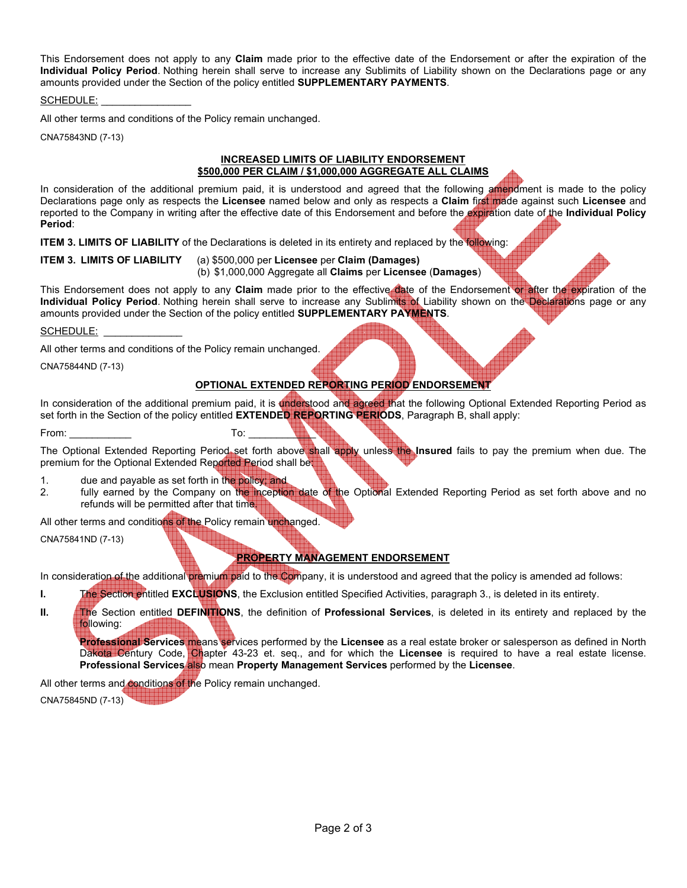This Endorsement does not apply to any **Claim** made prior to the effective date of the Endorsement or after the expiration of the **Individual Policy Period**. Nothing herein shall serve to increase any Sublimits of Liability shown on the Declarations page or any amounts provided under the Section of the policy entitled **SUPPLEMENTARY PAYMENTS**.

SCHEDULE:

All other terms and conditions of the Policy remain unchanged.

CNA75843ND (7-13)

#### **INCREASED LIMITS OF LIABILITY ENDORSEMENT \$500,000 PER CLAIM / \$1,000,000 AGGREGATE ALL CLAIMS**

In consideration of the additional premium paid, it is understood and agreed that the following amendment is made to the policy Declarations page only as respects the **Licensee** named below and only as respects a **Claim** first made against such **Licensee** and reported to the Company in writing after the effective date of this Endorsement and before the expiration date of the **Individual Policy Period**:

**ITEM 3. LIMITS OF LIABILITY** of the Declarations is deleted in its entirety and replaced by the following:

**ITEM 3. LIMITS OF LIABILITY** (a) \$500,000 per **Licensee** per **Claim (Damages)** 

(b) \$1,000,000 Aggregate all **Claims** per **Licensee** (**Damages**)

This Endorsement does not apply to any **Claim** made prior to the effective date of the Endorsement or after the expiration of the **Individual Policy Period**. Nothing herein shall serve to increase any Sublimits of Liability shown on the Declarations page or any amounts provided under the Section of the policy entitled **SUPPLEMENTARY PAYMENTS**.

SCHEDULE:

All other terms and conditions of the Policy remain unchanged.

CNA75844ND (7-13)

### **OPTIONAL EXTENDED REPORTING PERIOD ENDORSEMENT**

In consideration of the additional premium paid, it is understood and agreed that the following Optional Extended Reporting Period as set forth in the Section of the policy entitled **EXTENDED REPORTING PERIODS**, Paragraph B, shall apply:

From: \_\_\_\_\_\_\_\_\_\_\_ To: \_\_\_\_\_\_\_\_\_\_\_\_

The Optional Extended Reporting Period set forth above shall apply unless the Insured fails to pay the premium when due. The premium for the Optional Extended Reported Period shall be:

- 1. due and payable as set forth in the policy; and
- 2. fully earned by the Company on the inception date of the Optional Extended Reporting Period as set forth above and no refunds will be permitted after that time.

All other terms and conditions of the Policy remain unchanged.

CNA75841ND (7-13)

## **PROPERTY MANAGEMENT ENDORSEMENT**

In consideration of the additional premium paid to the Company, it is understood and agreed that the policy is amended ad follows:

- **I.** The Section entitled **EXCLUSIONS**, the Exclusion entitled Specified Activities, paragraph 3., is deleted in its entirety.
- **II.** The Section entitled DEFINITIONS, the definition of **Professional Services**, is deleted in its entirety and replaced by the following:

**Professional Services** means services performed by the **Licensee** as a real estate broker or salesperson as defined in North Dakota Century Code, Chapter 43-23 et. seq., and for which the **Licensee** is required to have a real estate license. **Professional Services also mean Property Management Services** performed by the Licensee.

All other terms and conditions of the Policy remain unchanged. CNA75845ND (7-13)